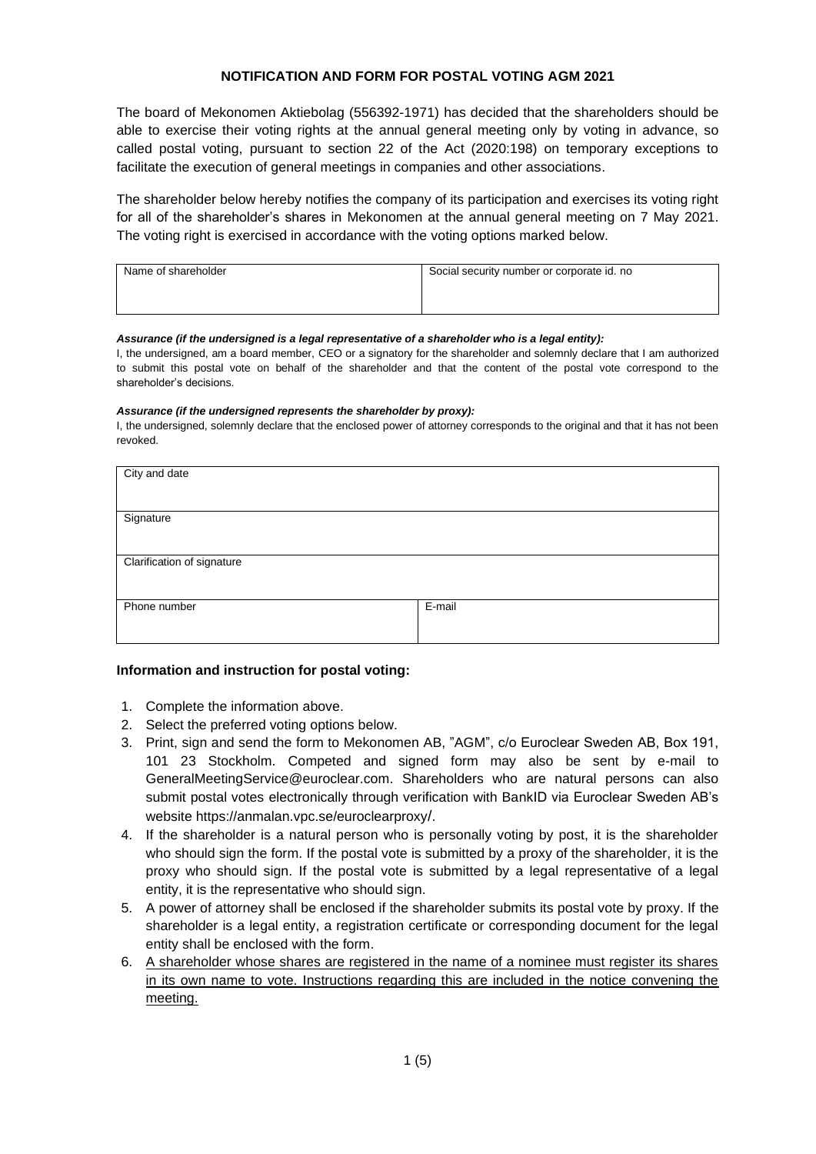## **NOTIFICATION AND FORM FOR POSTAL VOTING AGM 2021**

The board of Mekonomen Aktiebolag (556392-1971) has decided that the shareholders should be able to exercise their voting rights at the annual general meeting only by voting in advance, so called postal voting, pursuant to section 22 of the Act (2020:198) on temporary exceptions to facilitate the execution of general meetings in companies and other associations.

The shareholder below hereby notifies the company of its participation and exercises its voting right for all of the shareholder's shares in Mekonomen at the annual general meeting on 7 May 2021. The voting right is exercised in accordance with the voting options marked below.

| Name of shareholder | Social security number or corporate id. no |
|---------------------|--------------------------------------------|
|                     |                                            |
|                     |                                            |

#### *Assurance (if the undersigned is a legal representative of a shareholder who is a legal entity):*

I, the undersigned, am a board member, CEO or a signatory for the shareholder and solemnly declare that I am authorized to submit this postal vote on behalf of the shareholder and that the content of the postal vote correspond to the shareholder's decisions.

#### *Assurance (if the undersigned represents the shareholder by proxy):*

I, the undersigned, solemnly declare that the enclosed power of attorney corresponds to the original and that it has not been revoked.

| City and date              |        |  |
|----------------------------|--------|--|
| Signature                  |        |  |
| Clarification of signature |        |  |
| Phone number               | E-mail |  |

## **Information and instruction for postal voting:**

- 1. Complete the information above.
- 2. Select the preferred voting options below.
- 3. Print, sign and send the form to Mekonomen AB, "AGM", c/o Euroclear Sweden AB, Box 191, 101 23 Stockholm. Competed and signed form may also be sent by e-mail to GeneralMeetingService@euroclear.com. Shareholders who are natural persons can also submit postal votes electronically through verification with BankID via Euroclear Sweden AB's website https://anmalan.vpc.se/euroclearproxy/.
- 4. If the shareholder is a natural person who is personally voting by post, it is the shareholder who should sign the form. If the postal vote is submitted by a proxy of the shareholder, it is the proxy who should sign. If the postal vote is submitted by a legal representative of a legal entity, it is the representative who should sign.
- 5. A power of attorney shall be enclosed if the shareholder submits its postal vote by proxy. If the shareholder is a legal entity, a registration certificate or corresponding document for the legal entity shall be enclosed with the form.
- 6. A shareholder whose shares are registered in the name of a nominee must register its shares in its own name to vote. Instructions regarding this are included in the notice convening the meeting.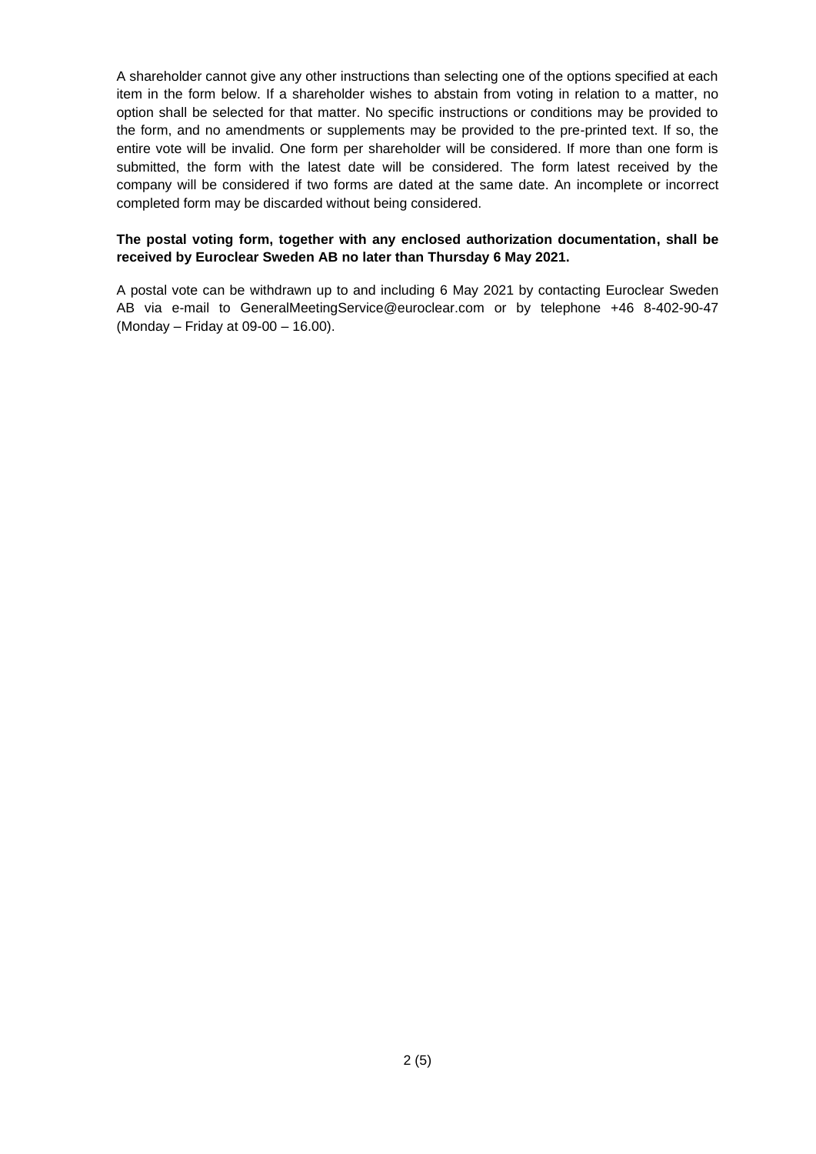A shareholder cannot give any other instructions than selecting one of the options specified at each item in the form below. If a shareholder wishes to abstain from voting in relation to a matter, no option shall be selected for that matter. No specific instructions or conditions may be provided to the form, and no amendments or supplements may be provided to the pre-printed text. If so, the entire vote will be invalid. One form per shareholder will be considered. If more than one form is submitted, the form with the latest date will be considered. The form latest received by the company will be considered if two forms are dated at the same date. An incomplete or incorrect completed form may be discarded without being considered.

#### **The postal voting form, together with any enclosed authorization documentation, shall be received by Euroclear Sweden AB no later than Thursday 6 May 2021.**

A postal vote can be withdrawn up to and including 6 May 2021 by contacting Euroclear Sweden AB via e-mail to GeneralMeetingService@euroclear.com or by telephone +46 8-402-90-47 (Monday – Friday at 09-00 – 16.00).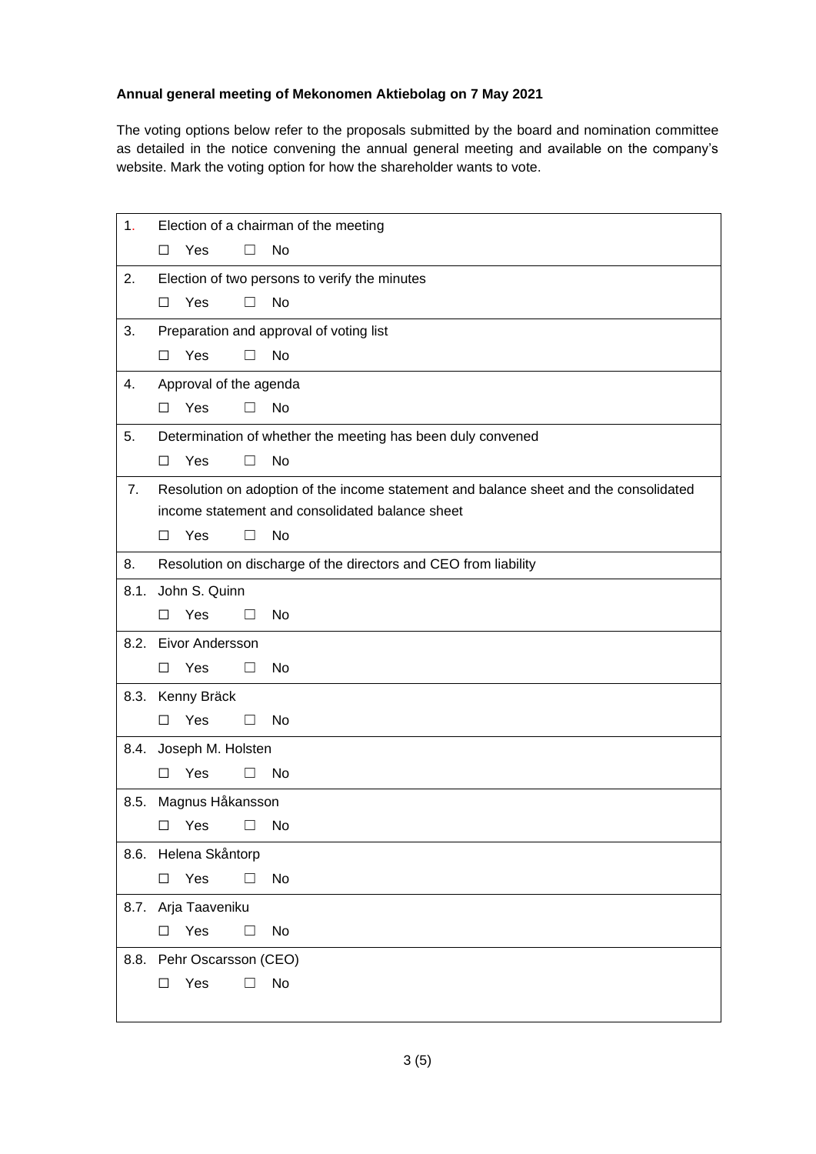# **Annual general meeting of Mekonomen Aktiebolag on 7 May 2021**

The voting options below refer to the proposals submitted by the board and nomination committee as detailed in the notice convening the annual general meeting and available on the company's website. Mark the voting option for how the shareholder wants to vote.

| 1.   | Election of a chairman of the meeting                                                 |  |  |  |  |
|------|---------------------------------------------------------------------------------------|--|--|--|--|
|      | No<br>Yes<br>□<br>$\mathbf{I}$                                                        |  |  |  |  |
| 2.   | Election of two persons to verify the minutes                                         |  |  |  |  |
|      | Yes<br>No<br>$\Box$<br>$\Box$                                                         |  |  |  |  |
| 3.   | Preparation and approval of voting list                                               |  |  |  |  |
|      | Yes<br>No<br>П<br>□                                                                   |  |  |  |  |
| 4.   | Approval of the agenda                                                                |  |  |  |  |
|      | Yes<br>П<br>No<br>□                                                                   |  |  |  |  |
| 5.   | Determination of whether the meeting has been duly convened                           |  |  |  |  |
|      | Yes<br>No<br>ΓI<br>□                                                                  |  |  |  |  |
| 7.   | Resolution on adoption of the income statement and balance sheet and the consolidated |  |  |  |  |
|      | income statement and consolidated balance sheet                                       |  |  |  |  |
|      | Yes<br>No<br>$\perp$<br>$\perp$                                                       |  |  |  |  |
| 8.   | Resolution on discharge of the directors and CEO from liability                       |  |  |  |  |
|      | 8.1. John S. Quinn                                                                    |  |  |  |  |
|      | Yes<br>No<br>Ш<br>⊔                                                                   |  |  |  |  |
|      | 8.2. Eivor Andersson                                                                  |  |  |  |  |
|      | Yes<br>No<br>$\Box$<br>□                                                              |  |  |  |  |
|      | 8.3. Kenny Bräck                                                                      |  |  |  |  |
|      | Yes<br>No<br>П<br>П                                                                   |  |  |  |  |
| 8.4. | Joseph M. Holsten                                                                     |  |  |  |  |
|      | Yes<br>No<br>□                                                                        |  |  |  |  |
|      | 8.5. Magnus Håkansson                                                                 |  |  |  |  |
|      | $\Box$ Yes $\Box$ No                                                                  |  |  |  |  |
|      | 8.6. Helena Skåntorp                                                                  |  |  |  |  |
|      | $\square$ Yes<br>$\Box$<br>No                                                         |  |  |  |  |
|      | 8.7. Arja Taaveniku                                                                   |  |  |  |  |
|      | Yes<br>$\Box$<br>No<br>$\Box$                                                         |  |  |  |  |
|      | 8.8. Pehr Oscarsson (CEO)                                                             |  |  |  |  |
|      | Yes<br>No<br>$\Box$<br>$\Box$                                                         |  |  |  |  |
|      |                                                                                       |  |  |  |  |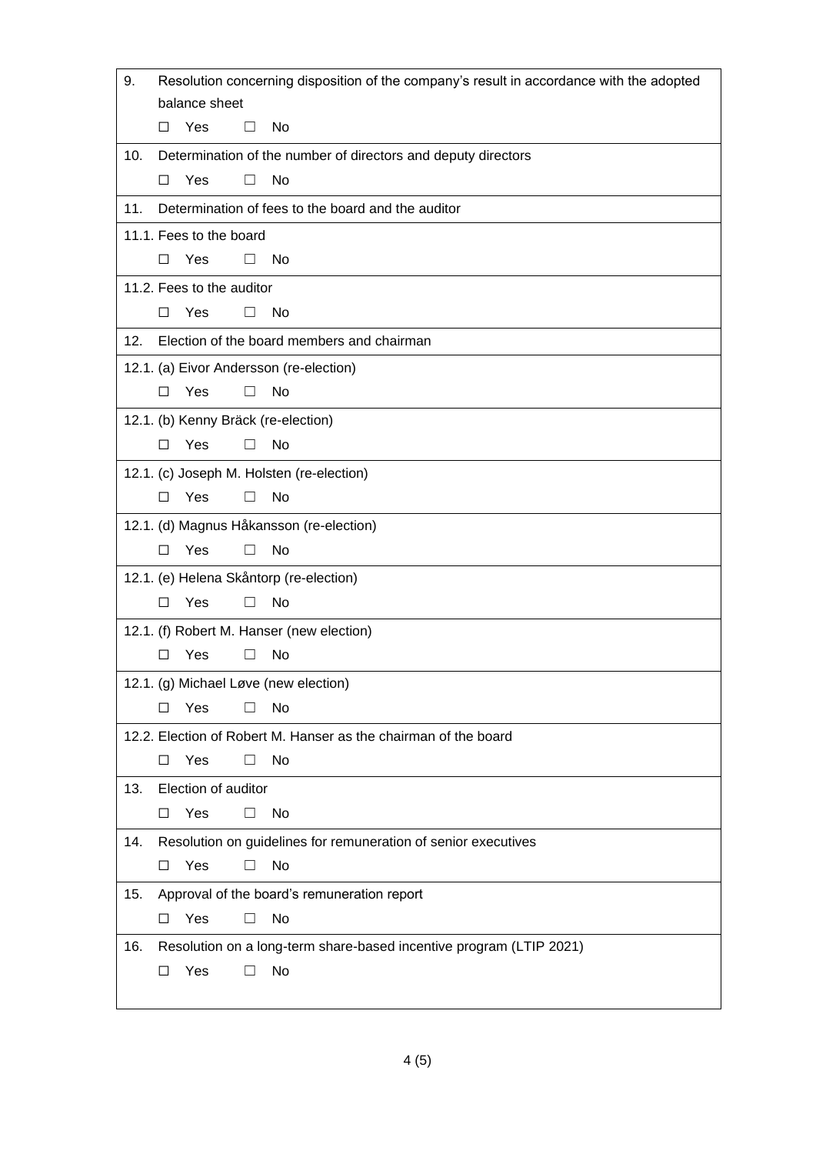| 9.                                  | Resolution concerning disposition of the company's result in accordance with the adopted |  |  |  |  |  |
|-------------------------------------|------------------------------------------------------------------------------------------|--|--|--|--|--|
|                                     | balance sheet                                                                            |  |  |  |  |  |
|                                     | Yes<br>No<br>□<br>0                                                                      |  |  |  |  |  |
| 10.                                 | Determination of the number of directors and deputy directors                            |  |  |  |  |  |
|                                     | Yes<br>No<br>$\Box$<br>$\perp$                                                           |  |  |  |  |  |
| 11.                                 | Determination of fees to the board and the auditor                                       |  |  |  |  |  |
|                                     | 11.1. Fees to the board                                                                  |  |  |  |  |  |
|                                     | Yes<br>No<br>$\Box$<br>□                                                                 |  |  |  |  |  |
|                                     | 11.2. Fees to the auditor                                                                |  |  |  |  |  |
|                                     | Yes<br>$\Box$<br>No<br>ш                                                                 |  |  |  |  |  |
| 12.                                 | Election of the board members and chairman                                               |  |  |  |  |  |
|                                     | 12.1. (a) Eivor Andersson (re-election)                                                  |  |  |  |  |  |
|                                     | Yes<br>No<br>$\Box$<br>П                                                                 |  |  |  |  |  |
| 12.1. (b) Kenny Bräck (re-election) |                                                                                          |  |  |  |  |  |
|                                     | Yes<br>No<br>□<br>П                                                                      |  |  |  |  |  |
|                                     | 12.1. (c) Joseph M. Holsten (re-election)                                                |  |  |  |  |  |
|                                     | Yes<br>No<br>□<br>$\perp$                                                                |  |  |  |  |  |
|                                     | 12.1. (d) Magnus Håkansson (re-election)                                                 |  |  |  |  |  |
|                                     | Yes<br>No<br>□<br>$\perp$                                                                |  |  |  |  |  |
|                                     | 12.1. (e) Helena Skåntorp (re-election)                                                  |  |  |  |  |  |
|                                     | Yes<br>No<br>П                                                                           |  |  |  |  |  |
|                                     | 12.1. (f) Robert M. Hanser (new election)                                                |  |  |  |  |  |
|                                     | Yes<br>No<br>П<br>П                                                                      |  |  |  |  |  |
|                                     | 12.1. (g) Michael Løve (new election)                                                    |  |  |  |  |  |
|                                     | Yes<br>No<br>□                                                                           |  |  |  |  |  |
|                                     | 12.2. Election of Robert M. Hanser as the chairman of the board                          |  |  |  |  |  |
|                                     | Yes<br>No<br>□<br>ш                                                                      |  |  |  |  |  |
| 13.                                 | Election of auditor                                                                      |  |  |  |  |  |
|                                     | Yes<br>No<br>□<br>□                                                                      |  |  |  |  |  |
| 14.                                 | Resolution on guidelines for remuneration of senior executives                           |  |  |  |  |  |
|                                     | Yes<br>No<br>□                                                                           |  |  |  |  |  |
| 15.                                 | Approval of the board's remuneration report                                              |  |  |  |  |  |
|                                     | Yes<br>No<br>□                                                                           |  |  |  |  |  |
| 16.                                 | Resolution on a long-term share-based incentive program (LTIP 2021)                      |  |  |  |  |  |
|                                     | Yes<br>No<br>□<br>Ш                                                                      |  |  |  |  |  |
|                                     |                                                                                          |  |  |  |  |  |